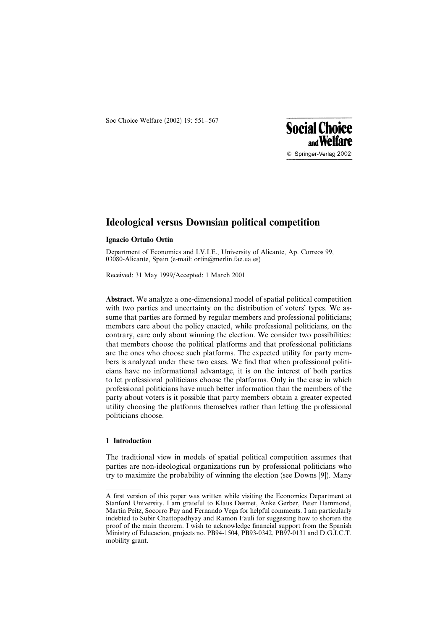# **Social Choice** and Welfare g 2002

## Ideological versus Downsian political competition

## Ignacio Ortuño Ortín

Department of Economics and I.V.I.E., University of Alicante, Ap. Correos 99, 03080-Alicante, Spain (e-mail: ortin@merlin.fae.ua.es)

Received: 31 May 1999/Accepted: 1 March 2001

Abstract. We analyze a one-dimensional model of spatial political competition with two parties and uncertainty on the distribution of voters' types. We assume that parties are formed by regular members and professional politicians; members care about the policy enacted, while professional politicians, on the contrary, care only about winning the election. We consider two possibilities: that members choose the political platforms and that professional politicians are the ones who choose such platforms. The expected utility for party members is analyzed under these two cases. We find that when professional politicians have no informational advantage, it is on the interest of both parties to let professional politicians choose the platforms. Only in the case in which professional politicians have much better information than the members of the party about voters is it possible that party members obtain a greater expected utility choosing the platforms themselves rather than letting the professional politicians choose.

## 1 Introduction

The traditional view in models of spatial political competition assumes that parties are non-ideological organizations run by professional politicians who try to maximize the probability of winning the election (see Downs [9]). Many

A first version of this paper was written while visiting the Economics Department at Stanford University. Iam grateful to Klaus Desmet, Anke Gerber, Peter Hammond, Martin Peitz, Socorro Puy and Fernando Vega for helpful comments. Iam particularly indebted to Subir Chattopadhyay and Ramon Fauli for suggesting how to shorten the proof of the main theorem. Iwish to acknowledge financial support from the Spanish Ministry of Educacion, projects no. PB94-1504, PB93-0342, PB97-0131 and D.G.I.C.T. mobility grant.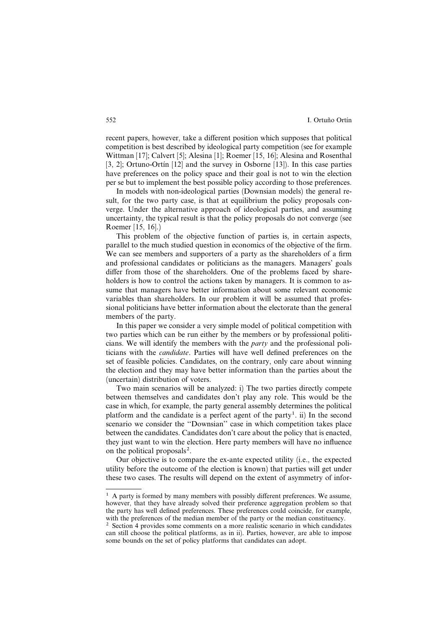recent papers, however, take a different position which supposes that political competition is best described by ideological party competition (see for example Wittman [17]; Calvert [5]; Alesina [1]; Roemer [15, 16]; Alesina and Rosenthal  $[3, 2]$ ; Ortuno-Ortin  $[12]$  and the survey in Osborne  $[13]$ ). In this case parties have preferences on the policy space and their goal is not to win the election per se but to implement the best possible policy according to those preferences.

In models with non-ideological parties (Downsian models) the general result, for the two party case, is that at equilibrium the policy proposals converge. Under the alternative approach of ideological parties, and assuming uncertainty, the typical result is that the policy proposals do not converge (see Roemer [15, 16].)

This problem of the objective function of parties is, in certain aspects, parallel to the much studied question in economics of the objective of the firm. We can see members and supporters of a party as the shareholders of a firm and professional candidates or politicians as the managers. Managers' goals differ from those of the shareholders. One of the problems faced by shareholders is how to control the actions taken by managers. It is common to assume that managers have better information about some relevant economic variables than shareholders. In our problem it will be assumed that professional politicians have better information about the electorate than the general members of the party.

In this paper we consider a very simple model of political competition with two parties which can be run either by the members or by professional politicians. We will identify the members with the party and the professional politicians with the candidate. Parties will have well defined preferences on the set of feasible policies. Candidates, on the contrary, only care about winning the election and they may have better information than the parties about the (uncertain) distribution of voters.

Two main scenarios will be analyzed: i) The two parties directly compete between themselves and candidates don't play any role. This would be the case in which, for example, the party general assembly determines the political platform and the candidate is a perfect agent of the party<sup>1</sup>. ii) In the second scenario we consider the ''Downsian'' case in which competition takes place between the candidates. Candidates don't care about the policy that is enacted, they just want to win the election. Here party members will have no influence on the political proposals<sup>2</sup>.

Our objective is to compare the ex-ante expected utility (i.e., the expected utility before the outcome of the election is known) that parties will get under these two cases. The results will depend on the extent of asymmetry of infor-

 $1$  A party is formed by many members with possibly different preferences. We assume, however, that they have already solved their preference aggregation problem so that the party has well defined preferences. These preferences could coincide, for example, with the preferences of the median member of the party or the median constituency.

<sup>2</sup> Section 4 provides some comments on a more realistic scenario in which candidates can still choose the political platforms, as in ii). Parties, however, are able to impose some bounds on the set of policy platforms that candidates can adopt.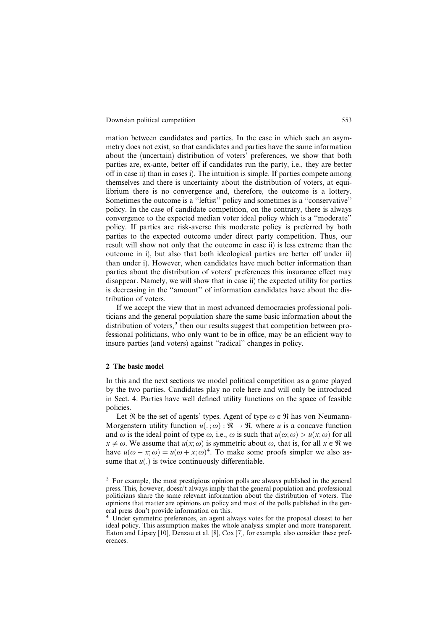mation between candidates and parties. In the case in which such an asymmetry does not exist, so that candidates and parties have the same information about the (uncertain) distribution of voters' preferences, we show that both parties are, ex-ante, better off if candidates run the party, i.e., they are better off in case ii) than in cases i). The intuition is simple. If parties compete among themselves and there is uncertainty about the distribution of voters, at equilibrium there is no convergence and, therefore, the outcome is a lottery. Sometimes the outcome is a ''leftist'' policy and sometimes is a ''conservative'' policy. In the case of candidate competition, on the contrary, there is always convergence to the expected median voter ideal policy which is a ''moderate'' policy. If parties are risk-averse this moderate policy is preferred by both parties to the expected outcome under direct party competition. Thus, our result will show not only that the outcome in case ii) is less extreme than the outcome in i), but also that both ideological parties are better off under ii) than under i). However, when candidates have much better information than parties about the distribution of voters' preferences this insurance effect may disappear. Namely, we will show that in case ii) the expected utility for parties is decreasing in the ''amount'' of information candidates have about the distribution of voters.

If we accept the view that in most advanced democracies professional politicians and the general population share the same basic information about the distribution of voters, $3$  then our results suggest that competition between professional politicians, who only want to be in office, may be an efficient way to insure parties (and voters) against ''radical'' changes in policy.

#### 2 The basic model

In this and the next sections we model political competition as a game played by the two parties. Candidates play no role here and will only be introduced in Sect. 4. Parties have well defined utility functions on the space of feasible policies.

Let  $\Re$  be the set of agents' types. Agent of type  $\omega \in \Re$  has von Neumann-Morgenstern utility function  $u(.; \omega) : \Re \rightarrow \Re$ , where u is a concave function and  $\omega$  is the ideal point of type  $\omega$ , i.e.,  $\omega$  is such that  $u(\omega; \omega) > u(x; \omega)$  for all  $x \neq \omega$ . We assume that  $u(x; \omega)$  is symmetric about  $\omega$ , that is, for all  $x \in \mathcal{R}$  we have  $u(\omega - x; \omega) = u(\omega + x; \omega)^4$ . To make some proofs simpler we also assume that  $u(.)$  is twice continuously differentiable.

<sup>&</sup>lt;sup>3</sup> For example, the most prestigious opinion polls are always published in the general press. This, however, doesn't always imply that the general population and professional politicians share the same relevant information about the distribution of voters. The opinions that matter are opinions on policy and most of the polls published in the general press don't provide information on this.

<sup>4</sup> Under symmetric preferences, an agent always votes for the proposal closest to her ideal policy. This assumption makes the whole analysis simpler and more transparent. Eaton and Lipsey [10], Denzau et al. [8], Cox [7], for example, also consider these preferences.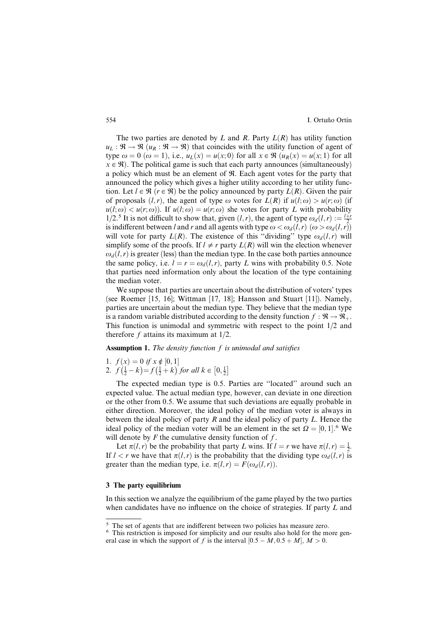The two parties are denoted by L and R. Party  $L(R)$  has utility function  $u_L : \mathbb{R} \to \mathbb{R}$   $(u_R : \mathbb{R} \to \mathbb{R})$  that coincides with the utility function of agent of type  $\omega = 0$  ( $\omega = 1$ ), i.e.,  $u_L(x) = u(x; 0)$  for all  $x \in \Re$  ( $u_R(x) = u(x; 1)$ ) for all  $x \in \mathcal{R}$ ). The political game is such that each party announces (simultaneously) a policy which must be an element of R. Each agent votes for the party that announced the policy which gives a higher utility according to her utility function. Let  $l \in \mathfrak{R}$   $(r \in \mathfrak{R})$  be the policy announced by party  $L(R)$ . Given the pair of proposals  $(l, r)$ , the agent of type  $\omega$  votes for  $L(R)$  if  $u(l; \omega) > u(r; \omega)$  (if  $u(l; \omega) < u(r; \omega)$ . If  $u(l; \omega) = u(r; \omega)$  she votes for party L with probability  $1/2$ <sup>5</sup> It is not difficult to show that, given  $(l, r)$ , the agent of type  $\omega_d(l, r) := \frac{l+h}{2}$ is indifferent between l and r and all agents with type  $\omega < \omega_d(l,r)$   $(\omega > \omega_d(l,r))$ will vote for party  $L(R)$ . The existence of this "dividing" type  $\omega_d(l,r)$  will simplify some of the proofs. If  $l \neq r$  party  $L(R)$  will win the election whenever  $\omega_d(l,r)$  is greater (less) than the median type. In the case both parties announce the same policy, i.e.  $l = r = \omega_d(l, r)$ , party L wins with probability 0.5. Note that parties need information only about the location of the type containing the median voter.

We suppose that parties are uncertain about the distribution of voters' types (see Roemer [15, 16]; Wittman [17, 18]; Hansson and Stuart [11]). Namely, parties are uncertain about the median type. They believe that the median type is a random variable distributed according to the density function  $f : \mathfrak{R} \to \mathfrak{R}_+$ . This function is unimodal and symmetric with respect to the point 1/2 and therefore  $f$  attains its maximum at  $1/2$ .

**Assumption 1.** The density function  $f$  is unimodal and satisfies

1. 
$$
f(x) = 0
$$
 if  $x \notin [0, 1]$   
2.  $f(\frac{1}{2} - k) = f(\frac{1}{2} + k)$  for all  $k \in [0, \frac{1}{2}]$ 

The expected median type is 0.5. Parties are ''located'' around such an expected value. The actual median type, however, can deviate in one direction or the other from 0.5. We assume that such deviations are equally probable in either direction. Moreover, the ideal policy of the median voter is always in between the ideal policy of party  $R$  and the ideal policy of party  $L$ . Hence the ideal policy of the median voter will be an element in the set  $\Omega = [0, 1]$ .<sup>6</sup> We will denote by  $F$  the cumulative density function of  $f$ .

Let  $\pi(l, r)$  be the probability that party L wins. If  $l = r$  we have  $\pi(l, r) = \frac{1}{2}$ . If  $l < r$  we have that  $\pi(l,r)$  is the probability that the dividing type  $\omega_d(l,r)$  is greater than the median type, i.e.  $\pi(l,r) = F(\omega_d(l,r))$ .

#### 3 The party equilibrium

In this section we analyze the equilibrium of the game played by the two parties when candidates have no influence on the choice of strategies. If party L and

 $5$  The set of agents that are indifferent between two policies has measure zero.

<sup>&</sup>lt;sup>6</sup> This restriction is imposed for simplicity and our results also hold for the more general case in which the support of f is the interval  $[0.5 - M, 0.5 + M], M > 0$ .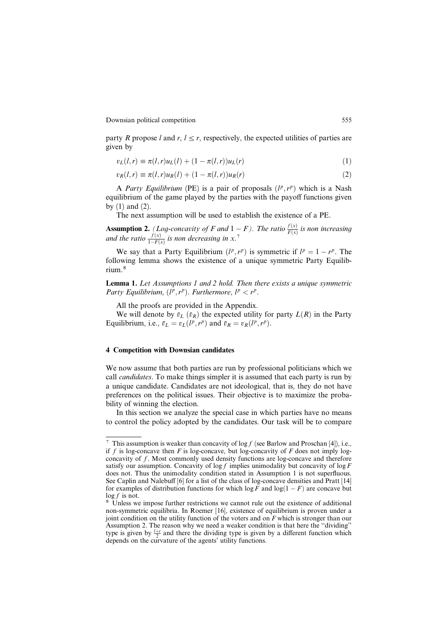party R propose l and r,  $l \le r$ , respectively, the expected utilities of parties are given by

$$
v_L(l,r) \equiv \pi(l,r)u_L(l) + (1 - \pi(l,r))u_L(r)
$$
\n(1)

$$
v_R(l,r) \equiv \pi(l,r)u_R(l) + (1 - \pi(l,r))u_R(r)
$$
\n(2)

A Party Equilibrium (PE) is a pair of proposals  $(l^p, r^p)$  which is a Nash equilibrium of the game played by the parties with the payoff functions given by (1) and (2).

The next assumption will be used to establish the existence of a PE.

**Assumption 2.** (Log-concavity of F and  $1 - F$ ). The ratio  $\frac{f(x)}{F(x)}$  is non increasing and the ratio  $\frac{f(x)}{1-F(x)}$  is non decreasing in x.<sup>7</sup>

We say that a Party Equilibrium  $(l^p, r^p)$  is symmetric if  $l^p = 1 - r^p$ . The following lemma shows the existence of a unique symmetric Party Equilibrium<sup>8</sup>

Lemma 1. Let Assumptions 1 and 2 hold. Then there exists a unique symmetric Party Equilibrium,  $(l^p, r^p)$ . Furthermore,  $l^p < r^p$ .

All the proofs are provided in the Appendix.

We will denote by  $\bar{v}_L$  ( $\bar{v}_R$ ) the expected utility for party  $L(R)$  in the Party Equilibrium, i.e.,  $\bar{v}_L = v_L(l^p, r^p)$  and  $\bar{v}_R = v_R(l^p, r^p)$ .

#### 4 Competition with Downsian candidates

We now assume that both parties are run by professional politicians which we call *candidates*. To make things simpler it is assumed that each party is run by a unique candidate. Candidates are not ideological, that is, they do not have preferences on the political issues. Their objective is to maximize the probability of winning the election.

In this section we analyze the special case in which parties have no means to control the policy adopted by the candidates. Our task will be to compare

<sup>&</sup>lt;sup>7</sup> This assumption is weaker than concavity of log f (see Barlow and Proschan [4]), i.e., if f is log-concave then  $F$  is log-concave, but log-concavity of  $F$  does not imply logconcavity of  $f$ . Most commonly used density functions are log-concave and therefore satisfy our assumption. Concavity of  $\log f$  implies unimodality but concavity of  $\log F$ does not. Thus the unimodality condition stated in Assumption 1 is not superfluous. See Caplin and Nalebuff  $[6]$  for a list of the class of log-concave densities and Pratt  $[14]$ for examples of distribution functions for which  $\log F$  and  $\log(1 - F)$  are concave but  $\log f$  is not.

<sup>&</sup>lt;sup>8</sup> Unless we impose further restrictions we cannot rule out the existence of additional non-symmetric equilibria. In Roemer [16], existence of equilibrium is proven under a joint condition on the utility function of the voters and on  $F$  which is stronger than our Assumption 2. The reason why we need a weaker condition is that here the ''dividing'' type is given by  $\frac{l+r}{2}$  and there the dividing type is given by a different function which depends on the curvature of the agents' utility functions.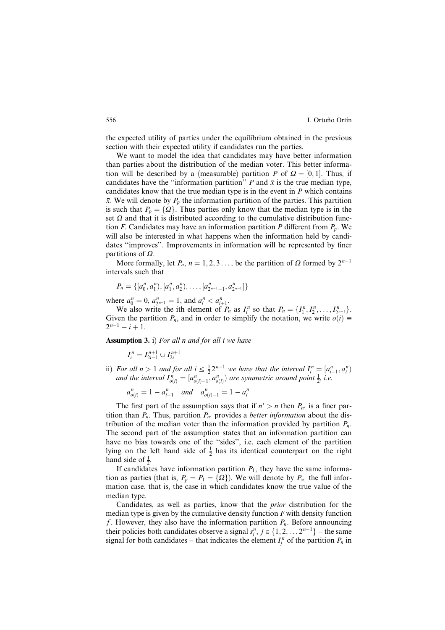the expected utility of parties under the equilibrium obtained in the previous section with their expected utility if candidates run the parties.

We want to model the idea that candidates may have better information than parties about the distribution of the median voter. This better information will be described by a (measurable) partition P of  $\Omega = [0, 1]$ . Thus, if candidates have the "information partition" P and  $\bar{x}$  is the true median type, candidates know that the true median type is in the event in  $P$  which contains  $\bar{x}$ . We will denote by  $P_p$  the information partition of the parties. This partition is such that  $P_p = \{ \Omega \}$ . Thus parties only know that the median type is in the set  $\Omega$  and that it is distributed according to the cumulative distribution function F. Candidates may have an information partition P different from  $P_n$ . We will also be interested in what happens when the information held by candidates ''improves''. Improvements in information will be represented by finer partitions of  $\Omega$ .

More formally, let  $P_n$ ,  $n = 1, 2, 3, \ldots$ , be the partition of  $\Omega$  formed by  $2^{n-1}$ intervals such that

$$
P_n = \{ [a_0^n, a_1^n), [a_1^n, a_2^n), \ldots, [a_{2^{n-1}-1}^n, a_{2^{n-1}}^n] \}
$$

where  $a_0^n = 0$ ,  $a_{2^{n-1}}^n = 1$ , and  $a_i^n < a_{i+1}^n$ .

We also write the ith element of  $P_n$  as  $I_i^n$  so that  $P_n = \{I_1^n, I_2^n, \ldots, I_{2^{n-1}}^n\}$ . Given the partition  $P_n$ , and in order to simplify the notation, we write  $o(i) \equiv$  $2^{n-1} - i + 1$ .

Assumption 3. i) For all n and for all i we have

$$
I_i^n = I_{2i-1}^{n+1} \cup I_{2i}^{n+1}
$$

ii) For all  $n > 1$  and for all  $i \leq \frac{1}{2} 2^{n-1}$  we have that the interval  $I_i^n = [a_{i-1}^n, a_i^n]$ and the interval  $I_{o(i)}^n = [a_{o(i)-1}^n, a_{o(i)}^n]$  are symmetric around point  $\frac{1}{2}$ , i.e.

$$
a_{o(i)}^n = 1 - a_{i-1}^n \quad \text{and} \quad a_{o(i)-1}^n = 1 - a_i^n
$$

The first part of the assumption says that if  $n' > n$  then  $P_{n'}$  is a finer partition than  $P_n$ . Thus, partition  $P_{n'}$  provides a *better information* about the distribution of the median voter than the information provided by partition  $P_n$ . The second part of the assumption states that an information partition can have no bias towards one of the "sides", i.e. each element of the partition lying on the left hand side of  $\frac{1}{2}$  has its identical counterpart on the right hand side of  $\frac{1}{2}$ .

If candidates have information partition  $P_1$ , they have the same information as parties (that is,  $P_p = P_1 = \{ \Omega \}$ ). We will denote by  $P_\infty$  the full information case, that is, the case in which candidates know the true value of the median type.

Candidates, as well as parties, know that the prior distribution for the median type is given by the cumulative density function  $F$  with density function f. However, they also have the information partition  $P_n$ . Before announcing their policies both candidates observe a signal  $s_j^n$ ,  $j \in \{1, 2, \dots 2^{n-1}\}$  – the same signal for both candidates – that indicates the element  $I_j^n$  of the partition  $P_n$  in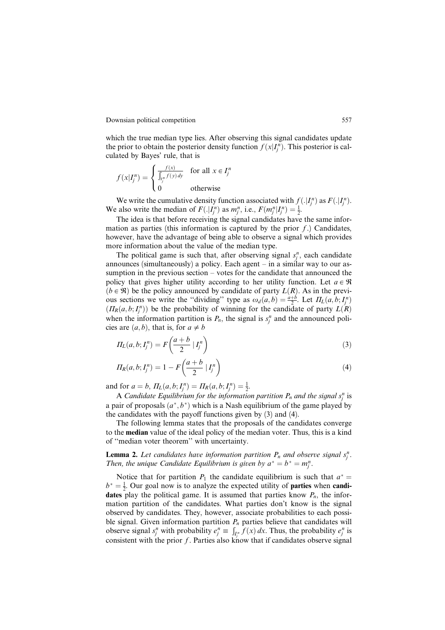which the true median type lies. After observing this signal candidates update the prior to obtain the posterior density function  $f(x|I_j^n)$ . This posterior is calculated by Bayes' rule, that is

$$
f(x|I_j^n) = \begin{cases} \frac{f(x)}{\int_{I_j^n} f(y) dy} & \text{for all } x \in I_j^n\\ 0 & \text{otherwise} \end{cases}
$$

We write the cumulative density function associated with  $f(.|I_j^n)$  as  $F(.|I_j^n)$ . We also write the median of  $F(.|I_j^n)$  as  $m_j^n$ , i.e.,  $F(m_j^n | I_j^n) = \frac{1}{2}$ .

The idea is that before receiving the signal candidates have the same information as parties (this information is captured by the prior  $f$ .) Candidates, however, have the advantage of being able to observe a signal which provides more information about the value of the median type.

The political game is such that, after observing signal  $s_j^n$ , each candidate announces (simultaneously) a policy. Each agent – in a similar way to our assumption in the previous section – votes for the candidate that announced the policy that gives higher utility according to her utility function. Let  $a \in \Re$  $(b \in \mathfrak{R})$  be the policy announced by candidate of party  $L(R)$ . As in the previous sections we write the "dividing" type as  $\omega_d(a, b) = \frac{a+b}{2}$ . Let  $\Pi_L(a, b; I_j^n)$  $(\Pi_R(a, b; I_j^n))$  be the probability of winning for the candidate of party  $L(R)$ when the information partition is  $P_n$ , the signal is  $s_j^n$  and the announced policies are  $(a, b)$ , that is, for  $a \neq b$ 

$$
\Pi_L(a, b; I_j^n) = F\left(\frac{a+b}{2} \mid I_j^n\right) \tag{3}
$$

$$
\Pi_R(a, b; I_j^n) = 1 - F\left(\frac{a+b}{2} \mid I_j^n\right) \tag{4}
$$

and for  $a = b$ ,  $\Pi_L(a, b; I_j^n) = \Pi_R(a, b; I_j^n) = \frac{1}{2}$ .

A Candidate Equilibrium for the information partition  $P_n$  and the signal  $s_j^n$  is a pair of proposals  $(a^*, b^*)$  which is a Nash equilibrium of the game played by the candidates with the payoff functions given by  $(3)$  and  $(4)$ .

The following lemma states that the proposals of the candidates converge to the median value of the ideal policy of the median voter. Thus, this is a kind of ''median voter theorem'' with uncertainty.

**Lemma 2.** Let candidates have information partition  $P_n$  and observe signal  $s_j^n$ . Then, the unique Candidate Equilibrium is given by  $a^* = b^* = m_j^n$ .

Notice that for partition  $P_1$  the candidate equilibrium is such that  $a^* =$  $b^* = \frac{1}{2}$ . Our goal now is to analyze the expected utility of **parties** when **candi**dates play the political game. It is assumed that parties know  $P_n$ , the information partition of the candidates. What parties don't know is the signal observed by candidates. They, however, associate probabilities to each possible signal. Given information partition  $P_n$  parties believe that candidates will observe signal  $s_j^n$  with probability  $e_j^n \equiv \int_{I_i^n} f(x) dx$ . Thus, the probability  $e_j^n$  is consistent with the prior f. Parties also know that if candidates observe signal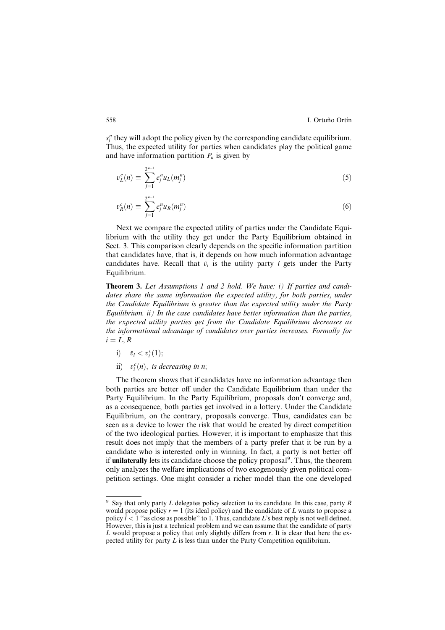$s_j^n$  they will adopt the policy given by the corresponding candidate equilibrium. Thus, the expected utility for parties when candidates play the political game and have information partition  $P_n$  is given by

$$
v_L^c(n) = \sum_{j=1}^{2^{n-1}} e_j^n u_L(m_j^n)
$$
 (5)

$$
v_R^c(n) \equiv \sum_{j=1}^{2^{n-1}} e_j^n u_R(m_j^n)
$$
 (6)

Next we compare the expected utility of parties under the Candidate Equilibrium with the utility they get under the Party Equilibrium obtained in Sect. 3. This comparison clearly depends on the specific information partition that candidates have, that is, it depends on how much information advantage candidates have. Recall that  $\bar{v}_i$  is the utility party *i* gets under the Party Equilibrium.

Theorem 3. Let Assumptions 1 and 2 hold. We have: i) If parties and candidates share the same information the expected utility, for both parties, under the Candidate Equilibrium is greater than the expected utility under the Party Equilibrium. ii) In the case candidates have better information than the parties, the expected utility parties get from the Candidate Equilibrium decreases as the informational advantage of candidates over parties increases. Formally for  $i = L, R$ 

- i)  $\bar{v}_i < v_i^c(1);$
- ii)  $v_i^c(n)$ , is decreasing in n;

The theorem shows that if candidates have no information advantage then both parties are better off under the Candidate Equilibrium than under the Party Equilibrium. In the Party Equilibrium, proposals don't converge and, as a consequence, both parties get involved in a lottery. Under the Candidate Equilibrium, on the contrary, proposals converge. Thus, candidates can be seen as a device to lower the risk that would be created by direct competition of the two ideological parties. However, it is important to emphasize that this result does not imply that the members of a party prefer that it be run by a candidate who is interested only in winning. In fact, a party is not better off if unilaterally lets its candidate choose the policy proposal<sup>9</sup>. Thus, the theorem only analyzes the welfare implications of two exogenously given political competition settings. One might consider a richer model than the one developed

<sup>&</sup>lt;sup>9</sup> Say that only party L delegates policy selection to its candidate. In this case, party R would propose policy  $r = 1$  (its ideal policy) and the candidate of L wants to propose a policy  $l < 1$  "as close as possible" to 1. Thus, candidate L's best reply is not well defined. However, this is just a technical problem and we can assume that the candidate of party  $L$  would propose a policy that only slightly differs from  $r$ . It is clear that here the expected utility for party L is less than under the Party Competition equilibrium.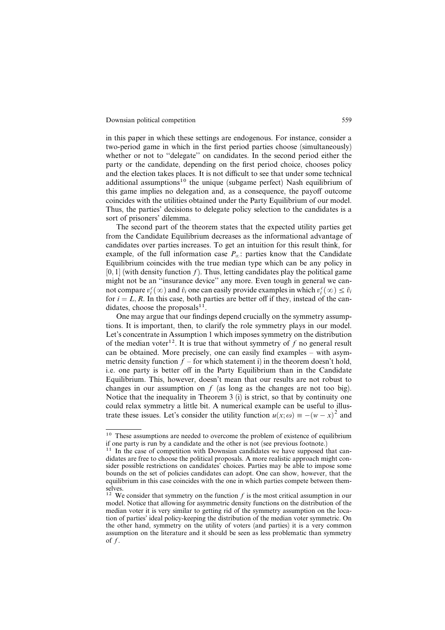in this paper in which these settings are endogenous. For instance, consider a two-period game in which in the first period parties choose (simultaneously) whether or not to ''delegate'' on candidates. In the second period either the party or the candidate, depending on the first period choice, chooses policy and the election takes places. It is not difficult to see that under some technical additional assumptions<sup>10</sup> the unique (subgame perfect) Nash equilibrium of this game implies no delegation and, as a consequence, the payoff outcome coincides with the utilities obtained under the Party Equilibrium of our model. Thus, the parties' decisions to delegate policy selection to the candidates is a sort of prisoners' dilemma.

The second part of the theorem states that the expected utility parties get from the Candidate Equilibrium decreases as the informational advantage of candidates over parties increases. To get an intuition for this result think, for example, of the full information case  $P_{\infty}$ : parties know that the Candidate Equilibrium coincides with the true median type which can be any policy in  $[0, 1]$  (with density function f). Thus, letting candidates play the political game might not be an ''insurance device'' any more. Even tough in general we cannot compare  $v_i^c(\infty)$  and  $\bar{v}_i$  one can easily provide examples in which  $v_i^c(\infty) \le \bar{v}_i$ for  $i = L, R$ . In this case, both parties are better off if they, instead of the candidates, choose the proposals $11$ .

One may argue that our findings depend crucially on the symmetry assumptions. It is important, then, to clarify the role symmetry plays in our model. Let's concentrate in Assumption 1 which imposes symmetry on the distribution of the median voter<sup>12</sup>. It is true that without symmetry of  $f$  no general result can be obtained. More precisely, one can easily find examples – with asymmetric density function  $f$  – for which statement i) in the theorem doesn't hold, i.e. one party is better off in the Party Equilibrium than in the Candidate Equilibrium. This, however, doesn't mean that our results are not robust to changes in our assumption on  $f$  (as long as the changes are not too big). Notice that the inequality in Theorem 3 (i) is strict, so that by continuity one could relax symmetry a little bit. A numerical example can be useful to illustrate these issues. Let's consider the utility function  $u(x; \omega) = -(w - x)^2$  and

<sup>&</sup>lt;sup>10</sup> These assumptions are needed to overcome the problem of existence of equilibrium if one party is run by a candidate and the other is not (see previous footnote.)

 $11$  In the case of competition with Downsian candidates we have supposed that candidates are free to choose the political proposals. A more realistic approach might consider possible restrictions on candidates' choices. Parties may be able to impose some bounds on the set of policies candidates can adopt. One can show, however, that the equilibrium in this case coincides with the one in which parties compete between themselves.

<sup>&</sup>lt;sup>12</sup> We consider that symmetry on the function  $f$  is the most critical assumption in our model. Notice that allowing for asymmetric density functions on the distribution of the median voter it is very similar to getting rid of the symmetry assumption on the location of parties' ideal policy-keeping the distribution of the median voter symmetric. On the other hand, symmetry on the utility of voters (and parties) it is a very common assumption on the literature and it should be seen as less problematic than symmetry of  $f$ .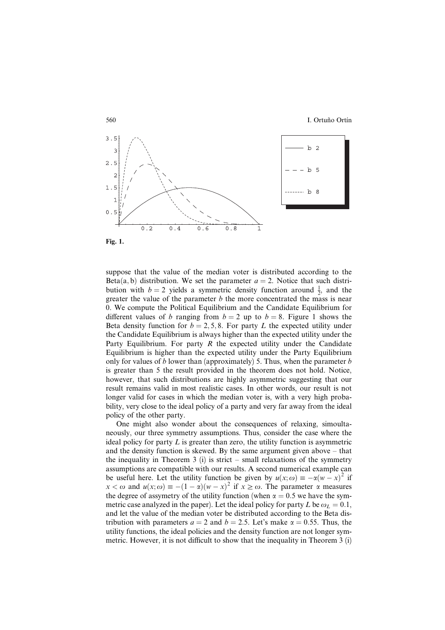



suppose that the value of the median voter is distributed according to the Beta $(a, b)$  distribution. We set the parameter  $a = 2$ . Notice that such distribution with  $b = 2$  yields a symmetric density function around  $\frac{1}{2}$ , and the greater the value of the parameter  $b$  the more concentrated the mass is near 0. We compute the Political Equilibrium and the Candidate Equilibrium for different values of b ranging from  $b = 2$  up to  $b = 8$ . Figure 1 shows the Beta density function for  $b = 2, 5, 8$ . For party L the expected utility under the Candidate Equilibrium is always higher than the expected utility under the Party Equilibrium. For party  $R$  the expected utility under the Candidate Equilibrium is higher than the expected utility under the Party Equilibrium only for values of  $b$  lower than (approximately) 5. Thus, when the parameter  $b$ is greater than 5 the result provided in the theorem does not hold. Notice, however, that such distributions are highly asymmetric suggesting that our result remains valid in most realistic cases. In other words, our result is not longer valid for cases in which the median voter is, with a very high probability, very close to the ideal policy of a party and very far away from the ideal policy of the other party.

One might also wonder about the consequences of relaxing, simoultaneously, our three symmetry assumptions. Thus, consider the case where the ideal policy for party  $L$  is greater than zero, the utility function is asymmetric and the density function is skewed. By the same argument given above – that the inequality in Theorem 3 (i) is strict – small relaxations of the symmetry assumptions are compatible with our results. A second numerical example can be useful here. Let the utility function be given by  $u(x; \omega) \equiv -\alpha (w - x)^2$  if  $x < \omega$  and  $u(x; \omega) \equiv -(1 - \alpha)(w - x)^2$  if  $x \ge \omega$ . The parameter  $\alpha$  measures the degree of assymetry of the utility function (when  $\alpha = 0.5$  we have the symmetric case analyzed in the paper). Let the ideal policy for party L be  $\omega_L = 0.1$ , and let the value of the median voter be distributed according to the Beta distribution with parameters  $a = 2$  and  $b = 2.5$ . Let's make  $\alpha = 0.55$ . Thus, the utility functions, the ideal policies and the density function are not longer symmetric. However, it is not difficult to show that the inequality in Theorem  $3$  (i)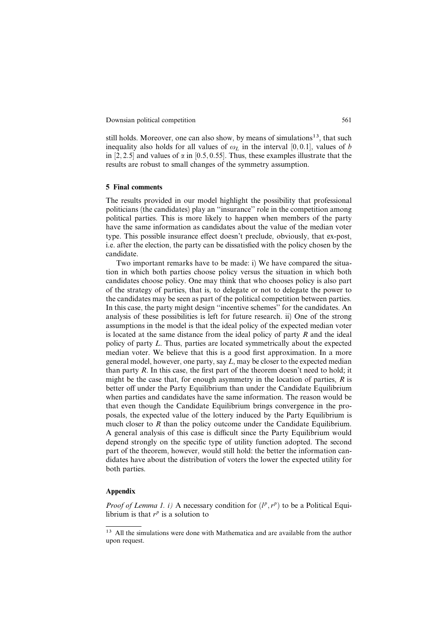still holds. Moreover, one can also show, by means of simulations<sup>13</sup>, that such inequality also holds for all values of  $\omega_L$  in the interval [0,0.1], values of b in [2, 2.5] and values of  $\alpha$  in [0.5, 0.55]. Thus, these examples illustrate that the results are robust to small changes of the symmetry assumption.

#### 5 Final comments

The results provided in our model highlight the possibility that professional politicians (the candidates) play an ''insurance'' role in the competition among political parties. This is more likely to happen when members of the party have the same information as candidates about the value of the median voter type. This possible insurance effect doesn't preclude, obviously, that ex-post, i.e. after the election, the party can be dissatisfied with the policy chosen by the candidate.

Two important remarks have to be made: i) We have compared the situation in which both parties choose policy versus the situation in which both candidates choose policy. One may think that who chooses policy is also part of the strategy of parties, that is, to delegate or not to delegate the power to the candidates may be seen as part of the political competition between parties. In this case, the party might design ''incentive schemes'' for the candidates. An analysis of these possibilities is left for future research. ii) One of the strong assumptions in the model is that the ideal policy of the expected median voter is located at the same distance from the ideal policy of party  $R$  and the ideal policy of party L. Thus, parties are located symmetrically about the expected median voter. We believe that this is a good first approximation. In a more general model, however, one party, say  $L$ , may be closer to the expected median than party  $R$ . In this case, the first part of the theorem doesn't need to hold; it might be the case that, for enough asymmetry in the location of parties,  $R$  is better off under the Party Equilibrium than under the Candidate Equilibrium when parties and candidates have the same information. The reason would be that even though the Candidate Equilibrium brings convergence in the proposals, the expected value of the lottery induced by the Party Equilibrium is much closer to  $R$  than the policy outcome under the Candidate Equilibrium. A general analysis of this case is difficult since the Party Equilibrium would depend strongly on the specific type of utility function adopted. The second part of the theorem, however, would still hold: the better the information candidates have about the distribution of voters the lower the expected utility for both parties.

## Appendix

*Proof of Lemma 1. i)* A necessary condition for  $(l^p, r^p)$  to be a Political Equilibrium is that  $r^p$  is a solution to

<sup>&</sup>lt;sup>13</sup> All the simulations were done with Mathematica and are available from the author upon request.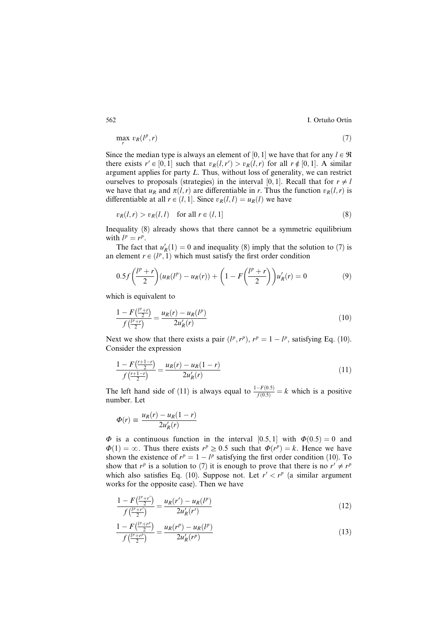562 I. Ortuño Ortín

$$
\max_{r} v_R(l^p, r) \tag{7}
$$

Since the median type is always an element of [0, 1] we have that for any  $l \in \Re$ there exists  $r' \in [0, 1]$  such that  $v_R(l, r') > v_R(l, r)$  for all  $r \notin [0, 1]$ . A similar argument applies for party L. Thus, without loss of generality, we can restrict ourselves to proposals (strategies) in the interval [0, 1]. Recall that for  $r \neq l$ we have that  $u_R$  and  $\pi(l,r)$  are differentiable in r. Thus the function  $v_R(l,r)$  is differentiable at all  $r \in (l, 1]$ . Since  $v_R(l, l) = u_R(l)$  we have

$$
v_R(l,r) > v_R(l,l) \quad \text{for all } r \in (l,1] \tag{8}
$$

Inequality (8) already shows that there cannot be a symmetric equilibrium with  $l^p = r^p$ .

The fact that  $u'_R(1) = 0$  and inequality (8) imply that the solution to (7) is an element  $r \in (l^p, 1)$  which must satisfy the first order condition

$$
0.5f\left(\frac{l^p+r}{2}\right)(u_R(l^p)-u_R(r)) + \left(1 - F\left(\frac{l^p+r}{2}\right)\right)u'_R(r) = 0
$$
\n(9)

which is equivalent to

$$
\frac{1 - F\left(\frac{l^p + r}{2}\right)}{f\left(\frac{l^p + r}{2}\right)} = \frac{u_R(r) - u_R(l^p)}{2u'_R(r)}\tag{10}
$$

Next we show that there exists a pair  $(l^p, r^p)$ ,  $r^p = 1 - l^p$ , satisfying Eq. (10). Consider the expression

$$
\frac{1 - F\left(\frac{r+1-r}{2}\right)}{f\left(\frac{r+1-r}{2}\right)} = \frac{u_R(r) - u_R(1-r)}{2u'_R(r)}\tag{11}
$$

The left hand side of (11) is always equal to  $\frac{1-F(0.5)}{f(0.5)} = k$  which is a positive number. Let

$$
\Phi(r) \equiv \frac{u_R(r) - u_R(1 - r)}{2u_R'(r)}
$$

 $\Phi$  is a continuous function in the interval [0.5, 1] with  $\Phi(0.5)=0$  and  $\Phi(1) = \infty$ . Thus there exists  $r^p \ge 0.5$  such that  $\Phi(r^p) = k$ . Hence we have shown the existence of  $r^p = 1 - l^p$  satisfying the first order condition (10). To show that  $r^p$  is a solution to (7) it is enough to prove that there is no  $r' \neq r^p$ which also satisfies Eq. (10). Suppose not. Let  $r' < r^p$  (a similar argument works for the opposite case). Then we have

$$
\frac{1 - F\left(\frac{l^p + r'}{2}\right)}{f\left(\frac{l^p + r'}{2}\right)} = \frac{u_R(r') - u_R(l^p)}{2u'_R(r')}
$$
\n(12)

$$
\frac{1 - F\left(\frac{l^p + r^p}{2}\right)}{f\left(\frac{l^p + r^p}{2}\right)} = \frac{u_R(r^p) - u_R(l^p)}{2u'_R(r^p)}
$$
(13)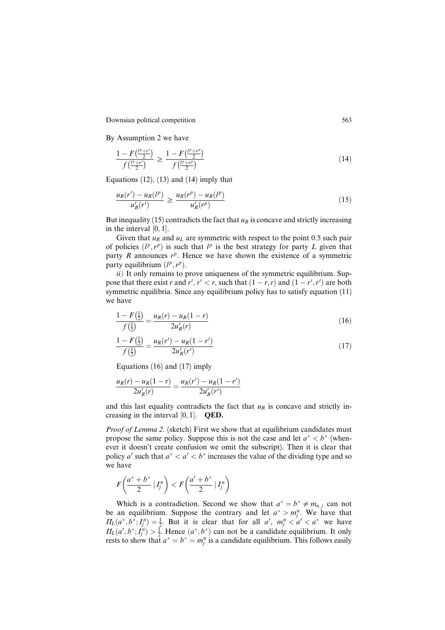Downsian political competition 563

By Assumption 2 we have

$$
\frac{1 - F\left(\frac{l^p + r'}{2}\right)}{f\left(\frac{l^p + r'}{2}\right)} \ge \frac{1 - F\left(\frac{l^p + r^p}{2}\right)}{f\left(\frac{l^p + r^p}{2}\right)}\tag{14}
$$

Equations  $(12)$ ,  $(13)$  and  $(14)$  imply that

$$
\frac{u_R(r') - u_R(l^p)}{u'_R(r')} \ge \frac{u_R(r^p) - u_R(l^p)}{u'_R(r^p)}\tag{15}
$$

But inequality (15) contradicts the fact that  $u_R$  is concave and strictly increasing in the interval  $[0, 1]$ .

Given that  $u_R$  and  $u_L$  are symmetric with respect to the point 0.5 such pair of policies  $(l^p, r^p)$  is such that  $l^p$  is the best strategy for party L given that party R announces  $r^p$ . Hence we have shown the existence of a symmetric party equilibrium  $(l^p, r^p)$ .

 $ii)$  It only remains to prove uniqueness of the symmetric equilibrium. Suppose that there exist r and  $r', r' < r$ , such that  $(1 - r, r)$  and  $(1 - r', r')$  are both symmetric equilibria. Since any equilibrium policy has to satisfy equation (11) we have

$$
\frac{1 - F\left(\frac{1}{2}\right)}{f\left(\frac{1}{2}\right)} = \frac{u_R(r) - u_R(1 - r)}{2u_R'(r)}\tag{16}
$$

$$
\frac{1 - F\left(\frac{1}{2}\right)}{f\left(\frac{1}{2}\right)} = \frac{u_R(r') - u_R(1 - r')}{2u'_R(r')}
$$
\n(17)

Equations (16) and (17) imply

$$
\frac{u_R(r) - u_R(1 - r)}{2u'_R(r)} = \frac{u_R(r') - u_R(1 - r')}{2u'_R(r')}
$$

and this last equality contradicts the fact that  $u_R$  is concave and strictly increasing in the interval  $[0, 1]$ . **QED.** 

Proof of Lemma 2. (sketch) First we show that at equilibrium candidates must propose the same policy. Suppose this is not the case and let  $a^* < b^*$  (whenever it doesn't create confusion we omit the subscript). Then it is clear that policy a' such that  $a^* < a' < b^*$  increases the value of the dividing type and so we have

$$
F\left(\frac{a^*+b^*}{2} \mid I_j^n\right) < F\left(\frac{a^{\prime}+b^*}{2} \mid I_j^n\right)
$$

Which is a contradiction. Second we show that  $a^* = b^* \neq m_{n,i}$  can not be an equilibrium. Suppose the contrary and let  $a^* > m_j^n$ . We have that  $\Pi_L(a^*,b^*;I_j^n) = \frac{1}{2}$ . But it is clear that for all  $a', m_j^n < a' < a^*$  we have  $\Pi_L(a', b^*; I_j^n) > \frac{1}{2}$ . Hence  $(a^*, b^*)$  can not be a candidate equilibrium. It only rests to show that  $a^* = b^* = m_j^n$  is a candidate equilibrium. This follows easily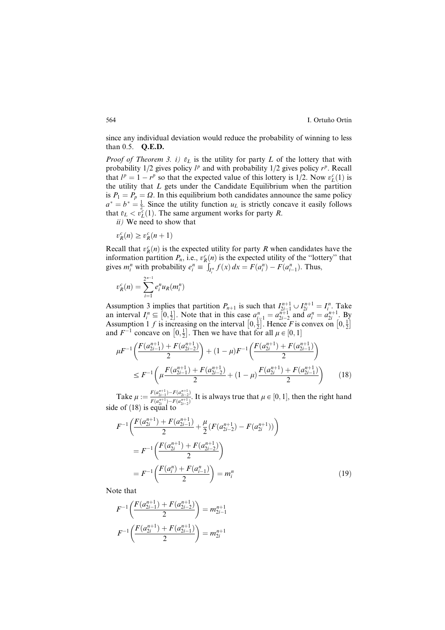since any individual deviation would reduce the probability of winning to less than 0.5. Q.E.D.

*Proof of Theorem 3. i)*  $\bar{v}_L$  is the utility for party L of the lottery that with probability  $1/2$  gives policy  $l^p$  and with probability  $1/2$  gives policy  $r^p$ . Recall that  $l^p = 1 - r^p$  so that the expected value of this lottery is 1/2. Now  $v_L^c(1)$  is the utility that  $L$  gets under the Candidate Equilibrium when the partition is  $P_1 = P_p = \Omega$ . In this equilibrium both candidates announce the same policy  $a^* = b^* = \frac{1}{2}$ . Since the utility function  $u<sub>L</sub>$  is strictly concave it easily follows that  $\bar{v}_L < v_L^c(1)$ . The same argument works for party R.

ii) We need to show that

$$
v_R^c(n) \ge v_R^c(n+1)
$$

Recall that  $v_R^c(n)$  is the expected utility for party R when candidates have the information partition  $P_n$ , i.e.,  $v_R^c(n)$  is the expected utility of the "lottery" that gives  $m_i^n$  with probability  $e_i^n \equiv \int_{I_i^n} f(x) dx = F(a_i^n) - F(a_{i-1}^n)$ . Thus,

$$
v_R^c(n) = \sum_{i=1}^{2^{n-1}} e_i^n u_R(m_i^n)
$$

Assumption 3 implies that partition  $P_{n+1}$  is such that  $I_{2i-1}^{n+1} \cup I_{2i}^{n+1} = I_i^n$ . Take an interval  $I_i^n \n\t\subseteq [0, \frac{1}{2}]$ an interval  $I_i^n \text{ }\subseteq [0, \frac{1}{2}]$ . Note that in this case  $a_{i-1}^n = a_{2i-2}^{n+1}$  and  $a_i^n = a_{2i}^{n+1}$ . By<br>Assumption 1 f is increasing on the interval  $[0, \frac{1}{2}]$ . Hence F is convex on  $[0, \frac{1}{2}]$  $\begin{bmatrix} -1 & -a_{2i-2} & \dots & a_i & -a_{2i} \\ 1 & -a_{2i-2} & \dots & -a_{2i-2} \\ \vdots & \vdots & \vdots & \vdots \\ 0 & 0 & 0 & 0 \\ 0 & 0 & 0 & 0 \end{bmatrix}$ ر<br>1 and  $F^{-1}$  concave on  $[0, \frac{1}{2}]$ . Then we have that for all  $\mu \in [0, 1]$ .<br>٦

$$
\mu F^{-1} \left( \frac{F(a_{2i-1}^{n+1}) + F(a_{2i-2}^{n+1})}{2} \right) + (1 - \mu) F^{-1} \left( \frac{F(a_{2i}^{n+1}) + F(a_{2i-1}^{n+1})}{2} \right)
$$
  

$$
\leq F^{-1} \left( \mu \frac{F(a_{2i-1}^{n+1}) + F(a_{2i-2}^{n+1})}{2} + (1 - \mu) \frac{F(a_{2i}^{n+1}) + F(a_{2i-1}^{n+1})}{2} \right) \tag{18}
$$

Take  $\mu := \frac{F(a_{2i-1}^{n+1}) - F(a_{2i-2}^{n+1})}{F(a_{2i-1}^{n+1}) - F(a_{2i-1}^{n+1})}$  $\frac{F(a_{2i-1})-F(a_{2i-2})}{F(a_{2i}^{n+1})-F(a_{2i-2}^{n+1})}$ . It is always true that  $\mu \in [0, 1]$ , then the right hand side of  $(18)$  is equal to

$$
F^{-1}\left(\frac{F(a_{2i}^{n+1}) + F(a_{2i-1}^{n+1})}{2} + \frac{\mu}{2}(F(a_{2i-2}^{n+1}) - F(a_{2i}^{n+1}))\right)
$$
  
= 
$$
F^{-1}\left(\frac{F(a_{2i}^{n+1}) + F(a_{2i-2}^{n+1})}{2}\right)
$$
  
= 
$$
F^{-1}\left(\frac{F(a_i^n) + F(a_{i-1}^n)}{2}\right) = m_i^n
$$
 (19)

Note that

$$
F^{-1}\left(\frac{F(a_{2i-1}^{n+1}) + F(a_{2i-2}^{n+1})}{2}\right) = m_{2i-1}^{n+1}
$$

$$
F^{-1}\left(\frac{F(a_{2i}^{n+1}) + F(a_{2i-1}^{n+1})}{2}\right) = m_{2i}^{n+1}
$$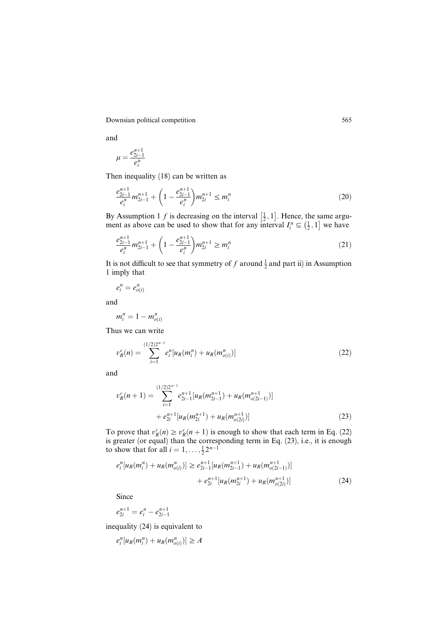and

$$
\mu = \frac{e_{2i-1}^{n+1}}{e_i^n}
$$

Then inequality (18) can be written as

$$
\frac{e_{2i-1}^{n+1}}{e_i^n} m_{2i-1}^{n+1} + \left(1 - \frac{e_{2i-1}^{n+1}}{e_i^n}\right) m_{2i}^{n+1} \le m_i^n \tag{20}
$$

By Assumption 1 f is decreasing on the interval  $\left[\frac{1}{2}, 1\right]$ . Hence, the same argu-By Assumption 1 f is decreasing on the interval  $\begin{bmatrix} 2 \\ 2 \end{bmatrix}$ , if it is the different as above can be used to show that for any interval  $I_i^n \\\subseteq \begin{bmatrix} \frac{1}{2} \\ 1 \end{bmatrix}$  we have

$$
\frac{e_{2i-1}^{n+1}}{e_i^n} m_{2i-1}^{n+1} + \left(1 - \frac{e_{2i-1}^{n+1}}{e_i^n}\right) m_{2i}^{n+1} \ge m_i^n \tag{21}
$$

It is not difficult to see that symmetry of f around  $\frac{1}{2}$  and part ii) in Assumption 1 imply that

$$
e_i^n = e_{o(i)}^n
$$

and

$$
m_i^n = 1 - m_{o(i)}^n
$$

Thus we can write

$$
v_R^c(n) = \sum_{i=1}^{(1/2)2^{n-1}} e_i^n [u_R(m_i^n) + u_R(m_{o(i)}^n)] \tag{22}
$$

and

$$
v_R^c(n+1) = \sum_{i=1}^{(1/2)2^{n-1}} e_{2i-1}^{n+1} [u_R(m_{2i-1}^{n+1}) + u_R(m_{o(2i-1)}^{n+1})]
$$
  
+  $e_{2i}^{n+1} [u_R(m_{2i}^{n+1}) + u_R(m_{o(2i)}^{n+1})]$  (23)

To prove that  $v_R^c(n) \ge v_R^c(n+1)$  is enough to show that each term in Eq. (22) is greater (or equal) than the corresponding term in Eq. (23), i.e., it is enough to show that for all  $i = 1, \ldots, \frac{1}{2} 2^{n-1}$ 

$$
e_i^n[u_R(m_i^n) + u_R(m_{o(i)}^n)] \ge e_{2i-1}^{n+1}[u_R(m_{2i-1}^{n+1}) + u_R(m_{o(2i-1)}^{n+1})]
$$
  
+  $e_{2i}^{n+1}[u_R(m_{2i}^{n+1}) + u_R(m_{o(2i)}^{n+1})]$  (24)

Since

$$
e_{2i}^{n+1} = e_i^n - e_{2i-1}^{n+1}
$$

inequality (24) is equivalent to

$$
e_i^n[u_R(m_i^n) + u_R(m_{o(i)}^n)] \ge A
$$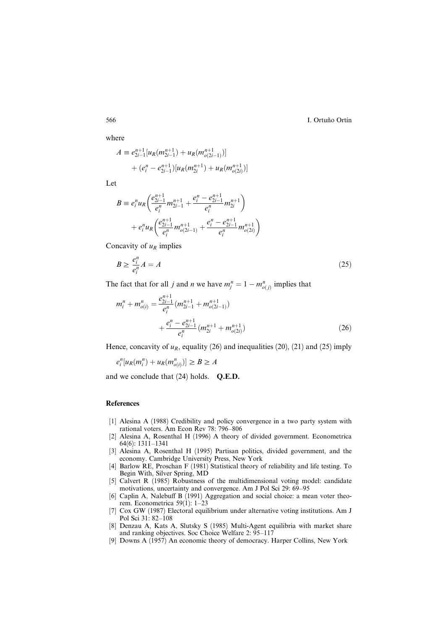where

$$
A \equiv e_{2i-1}^{n+1} [u_R(m_{2i-1}^{n+1}) + u_R(m_{o(2i-1)}^{n+1})]
$$
  
+  $(e_i^n - e_{2i-1}^{n+1}) [u_R(m_{2i}^{n+1}) + u_R(m_{o(2i)}^{n+1})]$ 

Let

$$
B \equiv e_i^n u_R \left( \frac{e_{2i-1}^{n+1}}{e_i^n} m_{2i-1}^{n+1} + \frac{e_i^n - e_{2i-1}^{n+1}}{e_i^n} m_{2i}^{n+1} \right) + e_i^n u_R \left( \frac{e_{2i-1}^{n+1}}{e_i^n} m_{o(2i-1)}^{n+1} + \frac{e_i^n - e_{2i-1}^{n+1}}{e_i^n} m_{o(2i)}^{n+1} \right)
$$

Concavity of  $u_R$  implies

$$
B \ge \frac{e_i^n}{e_i^n} A = A \tag{25}
$$

The fact that for all j and *n* we have  $m_j^n = 1 - m_{o(j)}^n$  implies that

$$
m_i^n + m_{o(i)}^n = \frac{e_{2i-1}^{n+1}}{e_i^n} (m_{2i-1}^{n+1} + m_{o(2i-1)}^{n+1}) + \frac{e_i^n - e_{2i-1}^{n+1}}{e_i^n} (m_{2i}^{n+1} + m_{o(2i)}^{n+1})
$$
\n(26)

Hence, concavity of  $u_R$ , equality (26) and inequalities (20), (21) and (25) imply

$$
e_i^n[u_R(m_i^n) + u_R(m_{o(i)}^n)] \ge B \ge A
$$

and we conclude that (24) holds. Q.E.D.

#### **References**

- [1] Alesina A (1988) Credibility and policy convergence in a two party system with rational voters. Am Econ Rev 78: 796–806
- [2] Alesina A, Rosenthal H (1996) A theory of divided government. Econometrica 64(6): 1311–1341
- [3] Alesina A, Rosenthal H (1995) Partisan politics, divided government, and the economy. Cambridge University Press, New York
- [4] Barlow RE, Proschan F (1981) Statistical theory of reliability and life testing. To Begin With, Silver Spring, MD
- [5] Calvert R (1985) Robustness of the multidimensional voting model: candidate motivations, uncertainty and convergence. Am J Pol Sci 29: 69–95
- $[6]$  Caplin A, Nalebuff B (1991) Aggregation and social choice: a mean voter theorem. Econometrica 59(1): 1–23
- [7] Cox GW (1987) Electoral equilibrium under alternative voting institutions. Am J Pol Sci 31: 82–108
- [8] Denzau A, Kats A, Slutsky S (1985) Multi-Agent equilibria with market share and ranking objectives. Soc Choice Welfare 2: 95–117
- [9] Downs A (1957) An economic theory of democracy. Harper Collins, New York